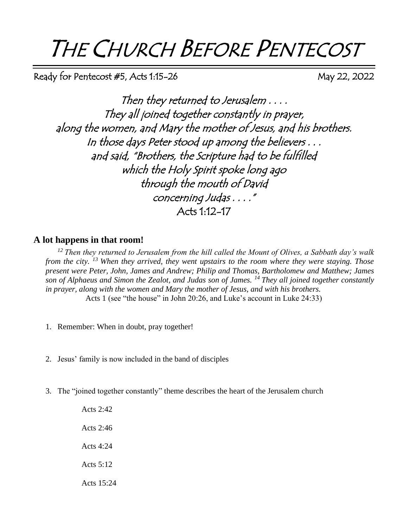# THE CHURCH BEFORE PENTECOST

Ready for Pentecost #5, Acts 1:15-26 May 22, 2022

Then they returned to Jerusalem . . . . They all joined together constantly in prayer, along the women, and Mary the mother of Jesus, and his brothers. In those days Peter stood up among the believers . . . and said, "Brothers, the Scripture had to be fulfilled which the Holy Spirit spoke long ago through the mouth of David concerning Judas . . . ." Acts 1:12-17

### **A lot happens in that room!**

*<sup>12</sup>Then they returned to Jerusalem from the hill called the Mount of Olives, a Sabbath day's walk from the city. <sup>13</sup>When they arrived, they went upstairs to the room where they were staying. Those present were Peter, John, James and Andrew; Philip and Thomas, Bartholomew and Matthew; James son of Alphaeus and Simon the Zealot, and Judas son of James. <sup>14</sup>They all joined together constantly in prayer, along with the women and Mary the mother of Jesus, and with his brothers.* Acts 1 (see "the house" in John 20:26, and Luke's account in Luke 24:33)

- 1. Remember: When in doubt, pray together!
- 2. Jesus' family is now included in the band of disciples
- 3. The "joined together constantly" theme describes the heart of the Jerusalem church

Acts 2:42 Acts 2:46 Acts 4:24 Acts 5:12 Acts 15:24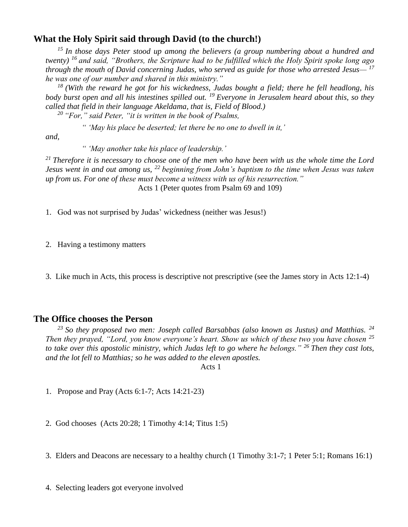## **What the Holy Spirit said through David (to the church!)**

*<sup>15</sup>In those days Peter stood up among the believers (a group numbering about a hundred and twenty) <sup>16</sup>and said, "Brothers, the Scripture had to be fulfilled which the Holy Spirit spoke long ago through the mouth of David concerning Judas, who served as guide for those who arrested Jesus— <sup>17</sup> he was one of our number and shared in this ministry."* 

*<sup>18</sup>(With the reward he got for his wickedness, Judas bought a field; there he fell headlong, his body burst open and all his intestines spilled out. <sup>19</sup>Everyone in Jerusalem heard about this, so they called that field in their language Akeldama, that is, Field of Blood.)* 

*<sup>20</sup>"For," said Peter, "it is written in the book of Psalms,* 

*" 'May his place be deserted; let there be no one to dwell in it,'*

*and,* 

*" 'May another take his place of leadership.'*

*<sup>21</sup>Therefore it is necessary to choose one of the men who have been with us the whole time the Lord Jesus went in and out among us, <sup>22</sup>beginning from John's baptism to the time when Jesus was taken up from us. For one of these must become a witness with us of his resurrection."* Acts 1 (Peter quotes from Psalm 69 and 109)

1. God was not surprised by Judas' wickedness (neither was Jesus!)

2. Having a testimony matters

3. Like much in Acts, this process is descriptive not prescriptive (see the James story in Acts 12:1-4)

#### **The Office chooses the Person**

*<sup>23</sup>So they proposed two men: Joseph called Barsabbas (also known as Justus) and Matthias. <sup>24</sup> Then they prayed, "Lord, you know everyone's heart. Show us which of these two you have chosen <sup>25</sup> to take over this apostolic ministry, which Judas left to go where he belongs." <sup>26</sup>Then they cast lots, and the lot fell to Matthias; so he was added to the eleven apostles.*

Acts 1

1. Propose and Pray (Acts 6:1-7; Acts 14:21-23)

2. God chooses (Acts 20:28; 1 Timothy 4:14; Titus 1:5)

3. Elders and Deacons are necessary to a healthy church (1 Timothy 3:1-7; 1 Peter 5:1; Romans 16:1)

4. Selecting leaders got everyone involved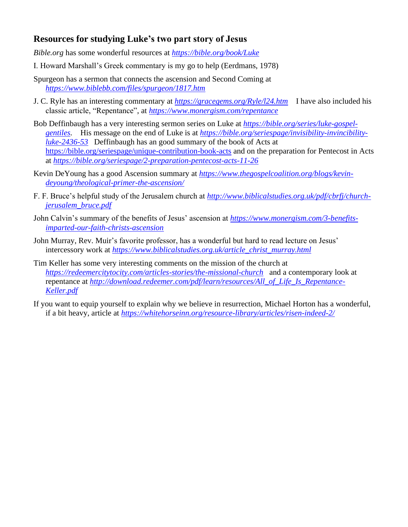# **Resources for studying Luke's two part story of Jesus**

*Bible.org* has some wonderful resources at *<https://bible.org/book/Luke>*

- I. Howard Marshall's Greek commentary is my go to help (Eerdmans, 1978)
- Spurgeon has a sermon that connects the ascension and Second Coming at *<https://www.biblebb.com/files/spurgeon/1817.htm>*
- J. C. Ryle has an interesting commentary at *<https://gracegems.org/Ryle/l24.htm>* I have also included his classic article, "Repentance", at *<https://www.monergism.com/repentance>*
- Bob Deffinbaugh has a very interesting sermon series on Luke at *[https://bible.org/series/luke-gospel](https://bible.org/series/luke-gospel-gentiles)[gentiles.](https://bible.org/series/luke-gospel-gentiles)* His message on the end of Luke is at *[https://bible.org/seriespage/invisibility-invincibility](https://bible.org/seriespage/invisibility-invincibility-luke-2436-53)[luke-2436-53](https://bible.org/seriespage/invisibility-invincibility-luke-2436-53)* Deffinbaugh has an good summary of the book of Acts at <https://bible.org/seriespage/unique-contribution-book-acts> and on the preparation for Pentecost in Acts at *<https://bible.org/seriespage/2-preparation-pentecost-acts-11-26>*
- Kevin DeYoung has a good Ascension summary at *[https://www.thegospelcoalition.org/blogs/kevin](https://www.thegospelcoalition.org/blogs/kevin-deyoung/theological-primer-the-ascension/)[deyoung/theological-primer-the-ascension/](https://www.thegospelcoalition.org/blogs/kevin-deyoung/theological-primer-the-ascension/)*
- F. F. Bruce's helpful study of the Jerusalem church at *[http://www.biblicalstudies.org.uk/pdf/cbrfj/church](http://www.biblicalstudies.org.uk/pdf/cbrfj/church-jerusalem_bruce.pdf)[jerusalem\\_bruce.pdf](http://www.biblicalstudies.org.uk/pdf/cbrfj/church-jerusalem_bruce.pdf)*
- John Calvin's summary of the benefits of Jesus' ascension at *[https://www.monergism.com/3-benefits](https://www.monergism.com/3-benefits-imparted-our-faith-christs-ascension)[imparted-our-faith-christs-ascension](https://www.monergism.com/3-benefits-imparted-our-faith-christs-ascension)*
- John Murray, Rev. Muir's favorite professor, has a wonderful but hard to read lecture on Jesus' intercessory work at *[https://www.biblicalstudies.org.uk/article\\_christ\\_murray.html](https://www.biblicalstudies.org.uk/article_christ_murray.html)*
- Tim Keller has some very interesting comments on the mission of the church at *<https://redeemercitytocity.com/articles-stories/the-missional-church>* and a contemporary look at repentance at *[http://download.redeemer.com/pdf/learn/resources/All\\_of\\_Life\\_Is\\_Repentance-](http://download.redeemer.com/pdf/learn/resources/All_of_Life_Is_Repentance-Keller.pdf)[Keller.pdf](http://download.redeemer.com/pdf/learn/resources/All_of_Life_Is_Repentance-Keller.pdf)*
- If you want to equip yourself to explain why we believe in resurrection, Michael Horton has a wonderful, if a bit heavy, article at *<https://whitehorseinn.org/resource-library/articles/risen-indeed-2/>*